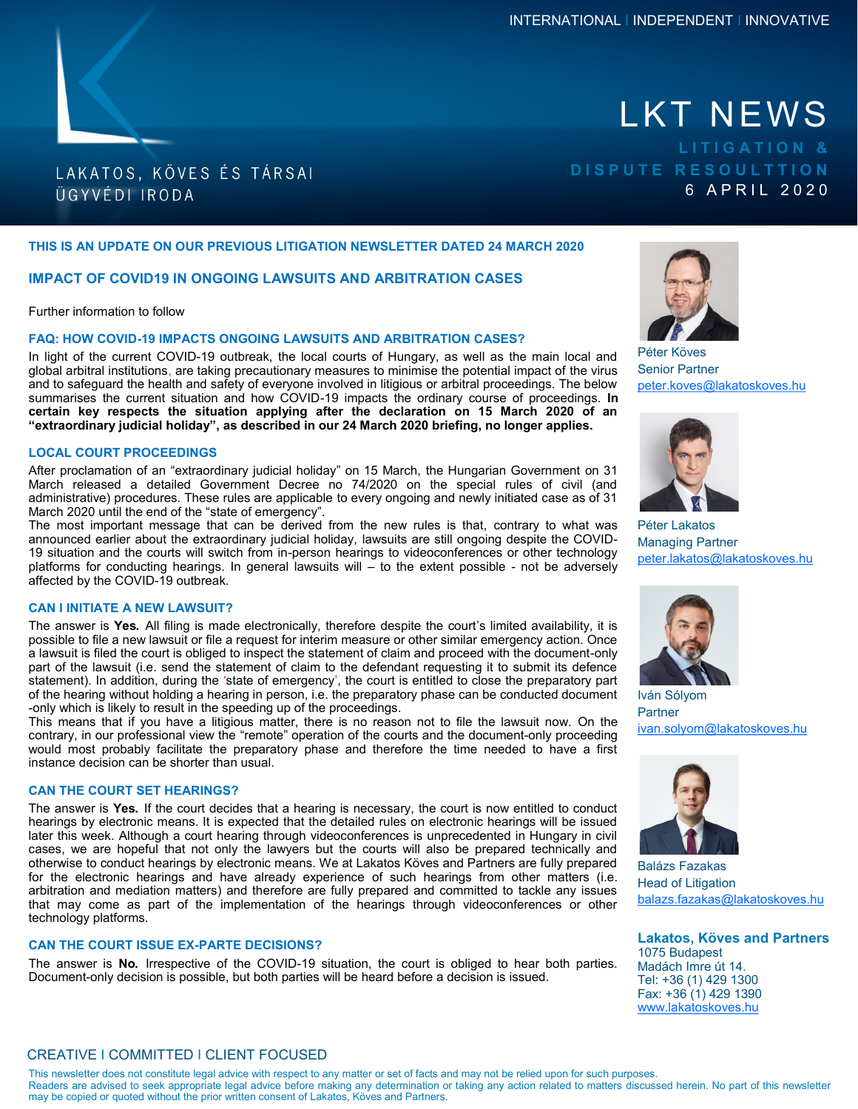# LAKATOS, KÖVES ÉS TÁRSAI ÜGYVÉDI IRODA

# LKT NEWS **L I T I G A T I O N & D I S P U T E R E S O U L T T I O N** 6 A P R I L 2 0 2 0

# **THIS IS AN UPDATE ON OUR PREVIOUS LITIGATION NEWSLETTER DATED 24 MARCH 2020**

# **IMPACT OF COVID19 IN ONGOING LAWSUITS AND ARBITRATION CASES**

Further information to follow

# **FAQ: HOW COVID-19 IMPACTS ONGOING LAWSUITS AND ARBITRATION CASES?**

In light of the current COVID-19 outbreak, the local courts of Hungary, as well as the main local and global arbitral institutions, are taking precautionary measures to minimise the potential impact of the virus and to safeguard the health and safety of everyone involved in litigious or arbitral proceedings. The below summarises the current situation and how COVID-19 impacts the ordinary course of proceedings. **In certain key respects the situation applying after the declaration on 15 March 2020 of an "extraordinary judicial holiday", as described in our 24 March 2020 briefing, no longer applies.**

#### **LOCAL COURT PROCEEDINGS**

After proclamation of an "extraordinary judicial holiday" on 15 March, the Hungarian Government on 31 March released a detailed Government Decree no 74/2020 on the special rules of civil (and administrative) procedures. These rules are applicable to every ongoing and newly initiated case as of 31 March 2020 until the end of the "state of emergency".

The most important message that can be derived from the new rules is that, contrary to what was announced earlier about the extraordinary judicial holiday, lawsuits are still ongoing despite the COVID-19 situation and the courts will switch from in-person hearings to videoconferences or other technology platforms for conducting hearings. In general lawsuits will  $-$  to the extent possible - not be adversely affected by the COVID-19 outbreak.

### **CAN I INITIATE A NEW LAWSUIT?**

The answer is **Yes.** All filing is made electronically, therefore despite the court's limited availability, it is possible to file a new lawsuit or file a request for interim measure or other similar emergency action. Once a lawsuit is filed the court is obliged to inspect the statement of claim and proceed with the document-only part of the lawsuit (i.e. send the statement of claim to the defendant requesting it to submit its defence statement). In addition, during the 'state of emergency', the court is entitled to close the preparatory part of the hearing without holding a hearing in person, i.e. the preparatory phase can be conducted document -only which is likely to result in the speeding up of the proceedings.

This means that if you have a litigious matter, there is no reason not to file the lawsuit now. On the contrary, in our professional view the "remote" operation of the courts and the document-only proceeding would most probably facilitate the preparatory phase and therefore the time needed to have a first instance decision can be shorter than usual.

#### **CAN THE COURT SET HEARINGS?**

The answer is **Yes.** If the court decides that a hearing is necessary, the court is now entitled to conduct hearings by electronic means. It is expected that the detailed rules on electronic hearings will be issued later this week. Although a court hearing through videoconferences is unprecedented in Hungary in civil cases, we are hopeful that not only the lawyers but the courts will also be prepared technically and otherwise to conduct hearings by electronic means. We at Lakatos Köves and Partners are fully prepared for the electronic hearings and have already experience of such hearings from other matters (i.e. arbitration and mediation matters) and therefore are fully prepared and committed to tackle any issues that may come as part of the implementation of the hearings through videoconferences or other technology platforms.

## **CAN THE COURT ISSUE EX-PARTE DECISIONS?**

The answer is **No.** Irrespective of the COVID-19 situation, the court is obliged to hear both parties. Document-only decision is possible, but both parties will be heard before a decision is issued.



Péter Köves Senior Partner peter.koves@lakatoskoves.hu



Péter Lakatos Managing Partner peter.lakatos@lakatoskoves.hu



Iván Sólyom **Partner** ivan.solyom@lakatoskoves.hu



Balázs Fazakas Head of Litigation balazs.fazakas@lakatoskoves.hu

**Lakatos, Köves and Partners** 1075 Budapest Madách Imre út 14. Tel: +36 (1) 429 1300 Fax: +36 (1) 429 1390 [www.lakatoskoves.hu](http://www.lakatoskoves.hu/en)

# CREATIVE I COMMITTED I CLIENT FOCUSED

This newsletter does not constitute legal advice with respect to any matter or set of facts and may not be relied upon for such purposes. Readers are advised to seek appropriate legal advice before making any determination or taking any action related to matters discussed herein. No part of this newsletter may be copied or quoted without the prior written consent of Lakatos, Köves and Partners.